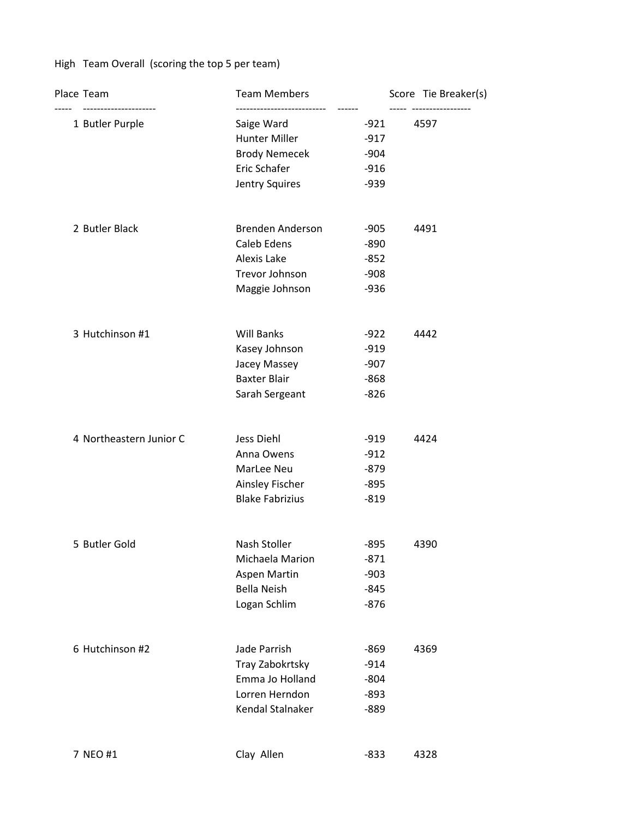## High Team Overall (scoring the top 5 per team)

| Place Team<br>--------------------- | <b>Team Members</b>    |        | Score Tie Breaker(s)      |
|-------------------------------------|------------------------|--------|---------------------------|
| 1 Butler Purple                     | Saige Ward             | -921   | -----------------<br>4597 |
|                                     | Hunter Miller          | $-917$ |                           |
|                                     | <b>Brody Nemecek</b>   | $-904$ |                           |
|                                     | Eric Schafer           | $-916$ |                           |
|                                     | Jentry Squires         | $-939$ |                           |
| 2 Butler Black                      | Brenden Anderson       | $-905$ | 4491                      |
|                                     | Caleb Edens            | $-890$ |                           |
|                                     | Alexis Lake            | $-852$ |                           |
|                                     | Trevor Johnson         | $-908$ |                           |
|                                     | Maggie Johnson         | $-936$ |                           |
| 3 Hutchinson #1                     | <b>Will Banks</b>      | $-922$ | 4442                      |
|                                     | Kasey Johnson          | $-919$ |                           |
|                                     | Jacey Massey           | $-907$ |                           |
|                                     | <b>Baxter Blair</b>    | $-868$ |                           |
|                                     | Sarah Sergeant         | $-826$ |                           |
| 4 Northeastern Junior C             | Jess Diehl             | $-919$ | 4424                      |
|                                     | Anna Owens             | $-912$ |                           |
|                                     | MarLee Neu             | $-879$ |                           |
|                                     | Ainsley Fischer        | $-895$ |                           |
|                                     | <b>Blake Fabrizius</b> | $-819$ |                           |
| 5 Butler Gold                       | Nash Stoller           | $-895$ | 4390                      |
|                                     | Michaela Marion        | $-871$ |                           |
|                                     | Aspen Martin           | $-903$ |                           |
|                                     | <b>Bella Neish</b>     | $-845$ |                           |
|                                     | Logan Schlim           | $-876$ |                           |
| 6 Hutchinson #2                     | Jade Parrish           | $-869$ | 4369                      |
|                                     | Tray Zabokrtsky        | $-914$ |                           |
|                                     | Emma Jo Holland        | $-804$ |                           |
|                                     | Lorren Herndon         | $-893$ |                           |
|                                     | Kendal Stalnaker       | $-889$ |                           |
| 7 NEO #1                            | Clay Allen             | $-833$ | 4328                      |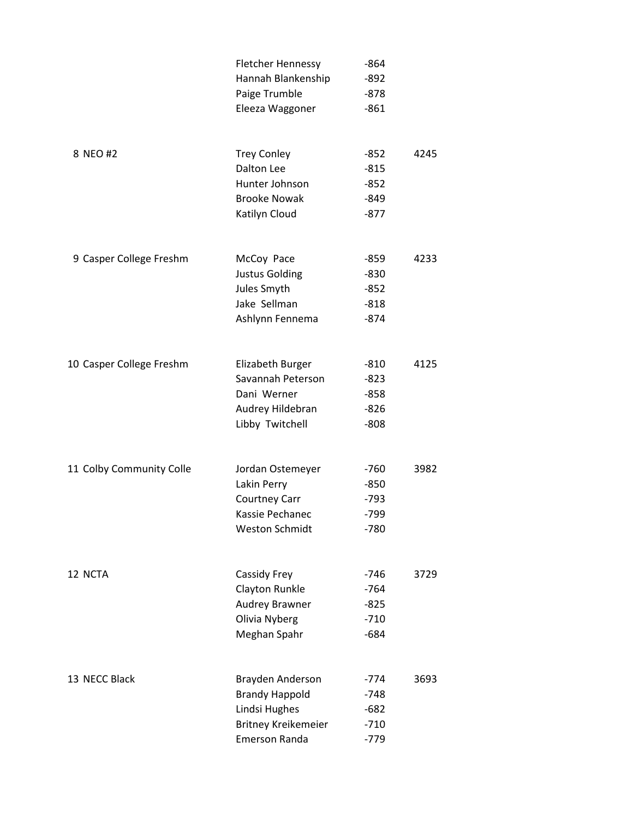|                          | <b>Fletcher Hennessy</b> | $-864$ |      |
|--------------------------|--------------------------|--------|------|
|                          | Hannah Blankenship       | $-892$ |      |
|                          | Paige Trumble            | $-878$ |      |
|                          | Eleeza Waggoner          | $-861$ |      |
|                          |                          |        |      |
| 8 NEO #2                 | <b>Trey Conley</b>       | $-852$ | 4245 |
|                          | Dalton Lee               | $-815$ |      |
|                          | Hunter Johnson           | $-852$ |      |
|                          | <b>Brooke Nowak</b>      | $-849$ |      |
|                          | Katilyn Cloud            | $-877$ |      |
|                          |                          |        |      |
| 9 Casper College Freshm  | McCoy Pace               | $-859$ | 4233 |
|                          | Justus Golding           | $-830$ |      |
|                          | Jules Smyth              | $-852$ |      |
|                          | Jake Sellman             | $-818$ |      |
|                          | Ashlynn Fennema          | $-874$ |      |
|                          |                          |        |      |
| 10 Casper College Freshm | Elizabeth Burger         | $-810$ | 4125 |
|                          | Savannah Peterson        | -823   |      |
|                          | Dani Werner              | $-858$ |      |
|                          | Audrey Hildebran         | -826   |      |
|                          | Libby Twitchell          | $-808$ |      |
|                          |                          |        |      |
| 11 Colby Community Colle | Jordan Ostemeyer         | $-760$ | 3982 |
|                          | Lakin Perry              | $-850$ |      |
|                          | Courtney Carr            | $-793$ |      |
|                          | Kassie Pechanec          | $-799$ |      |
|                          | <b>Weston Schmidt</b>    | $-780$ |      |
|                          |                          |        |      |
| 12 NCTA                  | Cassidy Frey             | $-746$ | 3729 |
|                          | Clayton Runkle           | $-764$ |      |
|                          | Audrey Brawner           | $-825$ |      |
|                          | Olivia Nyberg            | $-710$ |      |
|                          | Meghan Spahr             | $-684$ |      |
|                          |                          |        |      |
| 13 NECC Black            | Brayden Anderson         | $-774$ | 3693 |
|                          | <b>Brandy Happold</b>    | -748   |      |
|                          | Lindsi Hughes            | $-682$ |      |
|                          | Britney Kreikemeier      | $-710$ |      |
|                          | <b>Emerson Randa</b>     | $-779$ |      |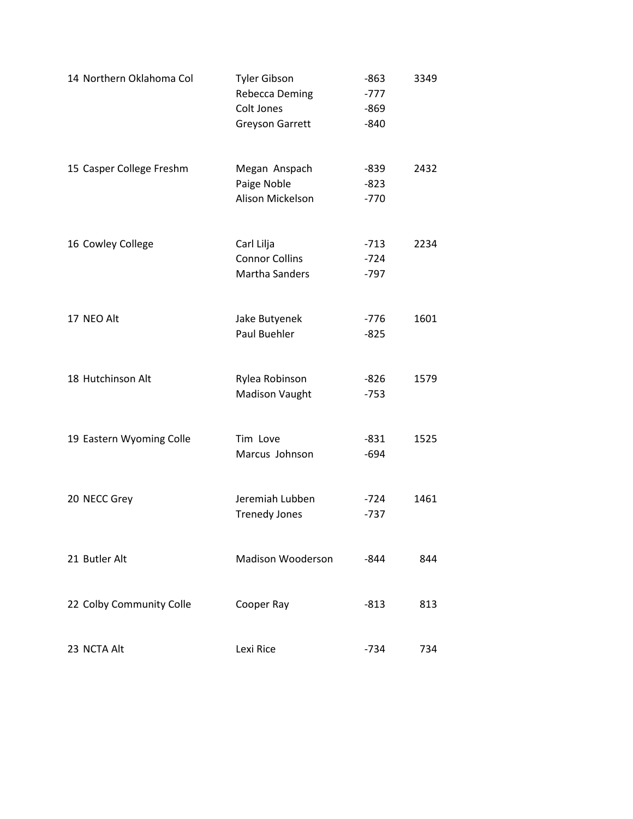| 14 Northern Oklahoma Col | <b>Tyler Gibson</b><br>Rebecca Deming<br>Colt Jones<br><b>Greyson Garrett</b> | $-863$<br>$-777$<br>$-869$<br>$-840$ | 3349 |
|--------------------------|-------------------------------------------------------------------------------|--------------------------------------|------|
| 15 Casper College Freshm | Megan Anspach<br>Paige Noble<br>Alison Mickelson                              | $-839$<br>$-823$<br>$-770$           | 2432 |
| 16 Cowley College        | Carl Lilja<br><b>Connor Collins</b><br><b>Martha Sanders</b>                  | $-713$<br>$-724$<br>$-797$           | 2234 |
| 17 NEO Alt               | Jake Butyenek<br>Paul Buehler                                                 | $-776$<br>$-825$                     | 1601 |
| 18 Hutchinson Alt        | Rylea Robinson<br><b>Madison Vaught</b>                                       | $-826$<br>$-753$                     | 1579 |
| 19 Eastern Wyoming Colle | Tim Love<br>Marcus Johnson                                                    | $-831$<br>$-694$                     | 1525 |
| 20 NECC Grey             | Jeremiah Lubben<br><b>Trenedy Jones</b>                                       | $-724$<br>$-737$                     | 1461 |
| 21 Butler Alt            | <b>Madison Wooderson</b>                                                      | $-844$                               | 844  |
| 22 Colby Community Colle | Cooper Ray                                                                    | -813                                 | 813  |
| 23 NCTA Alt              | Lexi Rice                                                                     | $-734$                               | 734  |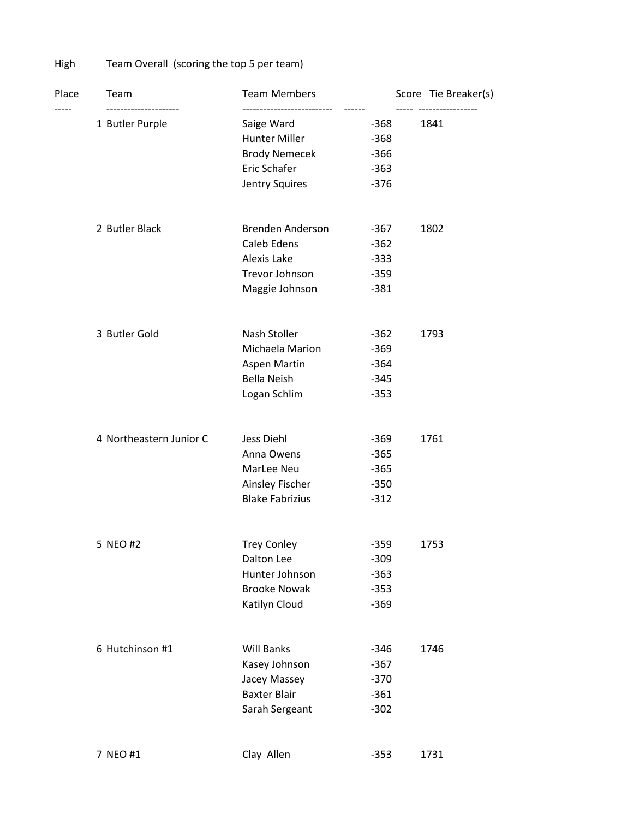High Team Overall (scoring the top 5 per team)

| Place | Team                                     | <b>Team Members</b>    |        | Score Tie Breaker(s)            |
|-------|------------------------------------------|------------------------|--------|---------------------------------|
|       | ---------------------<br>1 Butler Purple | Saige Ward             | -368   | ----- -----------------<br>1841 |
|       |                                          | Hunter Miller          | $-368$ |                                 |
|       |                                          | <b>Brody Nemecek</b>   | $-366$ |                                 |
|       |                                          | Eric Schafer           | $-363$ |                                 |
|       |                                          | Jentry Squires         | $-376$ |                                 |
|       | 2 Butler Black                           | Brenden Anderson       | -367   | 1802                            |
|       |                                          | Caleb Edens            | $-362$ |                                 |
|       |                                          | Alexis Lake            | $-333$ |                                 |
|       |                                          | Trevor Johnson         | $-359$ |                                 |
|       |                                          | Maggie Johnson         | $-381$ |                                 |
|       | 3 Butler Gold                            | Nash Stoller           | $-362$ | 1793                            |
|       |                                          | Michaela Marion        | $-369$ |                                 |
|       |                                          | Aspen Martin           | $-364$ |                                 |
|       |                                          | <b>Bella Neish</b>     | $-345$ |                                 |
|       |                                          | Logan Schlim           | $-353$ |                                 |
|       | 4 Northeastern Junior C                  | Jess Diehl             | -369   | 1761                            |
|       |                                          | Anna Owens             | $-365$ |                                 |
|       |                                          | MarLee Neu             | $-365$ |                                 |
|       |                                          | Ainsley Fischer        | $-350$ |                                 |
|       |                                          | <b>Blake Fabrizius</b> | $-312$ |                                 |
|       | 5 NEO #2                                 | <b>Trey Conley</b>     | $-359$ | 1753                            |
|       |                                          | Dalton Lee             | $-309$ |                                 |
|       |                                          | Hunter Johnson         | $-363$ |                                 |
|       |                                          | <b>Brooke Nowak</b>    | $-353$ |                                 |
|       |                                          | Katilyn Cloud          | $-369$ |                                 |
|       | 6 Hutchinson #1                          | <b>Will Banks</b>      | $-346$ | 1746                            |
|       |                                          | Kasey Johnson          | $-367$ |                                 |
|       |                                          | Jacey Massey           | $-370$ |                                 |
|       |                                          | <b>Baxter Blair</b>    | $-361$ |                                 |
|       |                                          | Sarah Sergeant         | $-302$ |                                 |
|       | 7 NEO #1                                 | Clay Allen             | $-353$ | 1731                            |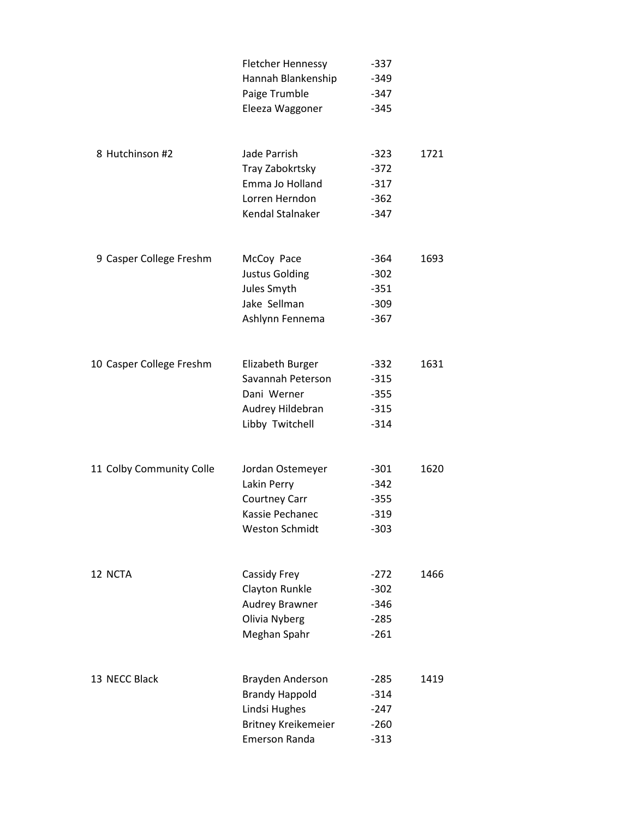|                          | <b>Fletcher Hennessy</b>   | $-337$ |      |
|--------------------------|----------------------------|--------|------|
|                          | Hannah Blankenship         | $-349$ |      |
|                          | Paige Trumble              | $-347$ |      |
|                          | Eleeza Waggoner            | $-345$ |      |
| 8 Hutchinson #2          | Jade Parrish               | $-323$ | 1721 |
|                          | Tray Zabokrtsky            | $-372$ |      |
|                          | Emma Jo Holland            | $-317$ |      |
|                          | Lorren Herndon             | $-362$ |      |
|                          | Kendal Stalnaker           | $-347$ |      |
| 9 Casper College Freshm  | McCoy Pace                 | -364   | 1693 |
|                          | <b>Justus Golding</b>      | $-302$ |      |
|                          | Jules Smyth                | $-351$ |      |
|                          | Jake Sellman               | $-309$ |      |
|                          | Ashlynn Fennema            | $-367$ |      |
| 10 Casper College Freshm | Elizabeth Burger           | $-332$ | 1631 |
|                          | Savannah Peterson          | $-315$ |      |
|                          | Dani Werner                | $-355$ |      |
|                          | Audrey Hildebran           | $-315$ |      |
|                          | Libby Twitchell            | $-314$ |      |
| 11 Colby Community Colle | Jordan Ostemeyer           | -301   | 1620 |
|                          | Lakin Perry                | $-342$ |      |
|                          | <b>Courtney Carr</b>       | $-355$ |      |
|                          | Kassie Pechanec            | $-319$ |      |
|                          | <b>Weston Schmidt</b>      | $-303$ |      |
| 12 NCTA                  | Cassidy Frey               | $-272$ | 1466 |
|                          | Clayton Runkle             | $-302$ |      |
|                          | <b>Audrey Brawner</b>      | $-346$ |      |
|                          | Olivia Nyberg              | $-285$ |      |
|                          | Meghan Spahr               | $-261$ |      |
| 13 NECC Black            | Brayden Anderson           | -285   | 1419 |
|                          | <b>Brandy Happold</b>      | $-314$ |      |
|                          | Lindsi Hughes              | $-247$ |      |
|                          | <b>Britney Kreikemeier</b> | $-260$ |      |
|                          | <b>Emerson Randa</b>       | $-313$ |      |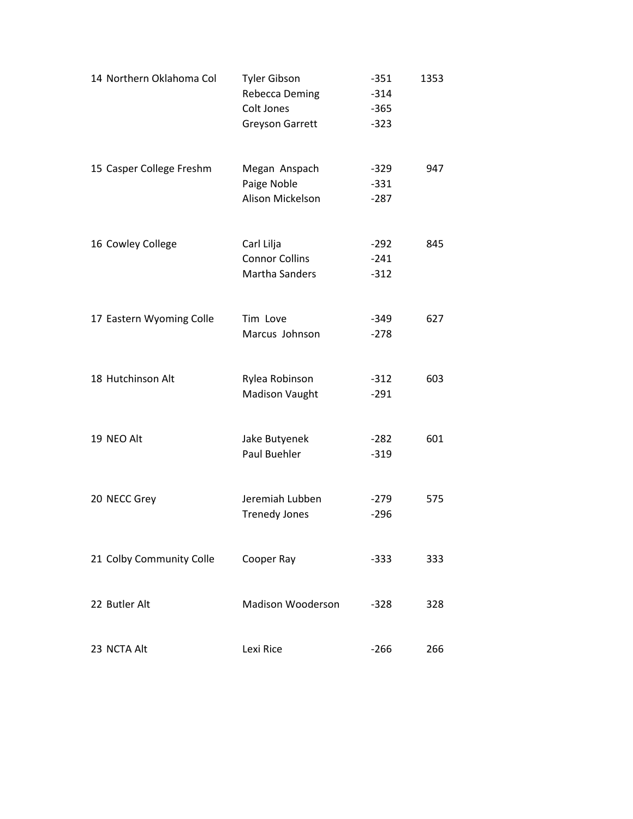| 14 Northern Oklahoma Col | <b>Tyler Gibson</b><br><b>Rebecca Deming</b><br>Colt Jones<br><b>Greyson Garrett</b> | $-351$<br>$-314$<br>$-365$<br>$-323$ | 1353 |
|--------------------------|--------------------------------------------------------------------------------------|--------------------------------------|------|
| 15 Casper College Freshm | Megan Anspach<br>Paige Noble<br>Alison Mickelson                                     | $-329$<br>$-331$<br>$-287$           | 947  |
| 16 Cowley College        | Carl Lilja<br><b>Connor Collins</b><br><b>Martha Sanders</b>                         | $-292$<br>$-241$<br>$-312$           | 845  |
| 17 Eastern Wyoming Colle | Tim Love<br>Marcus Johnson                                                           | $-349$<br>$-278$                     | 627  |
| 18 Hutchinson Alt        | Rylea Robinson<br>Madison Vaught                                                     | $-312$<br>$-291$                     | 603  |
| 19 NEO Alt               | Jake Butyenek<br>Paul Buehler                                                        | $-282$<br>$-319$                     | 601  |
| 20 NECC Grey             | Jeremiah Lubben<br><b>Trenedy Jones</b>                                              | $-279$<br>$-296$                     | 575  |
| 21 Colby Community Colle | Cooper Ray                                                                           | -333                                 | 333  |
| 22 Butler Alt            | <b>Madison Wooderson</b>                                                             | $-328$                               | 328  |
| 23 NCTA Alt              | Lexi Rice                                                                            | $-266$                               | 266  |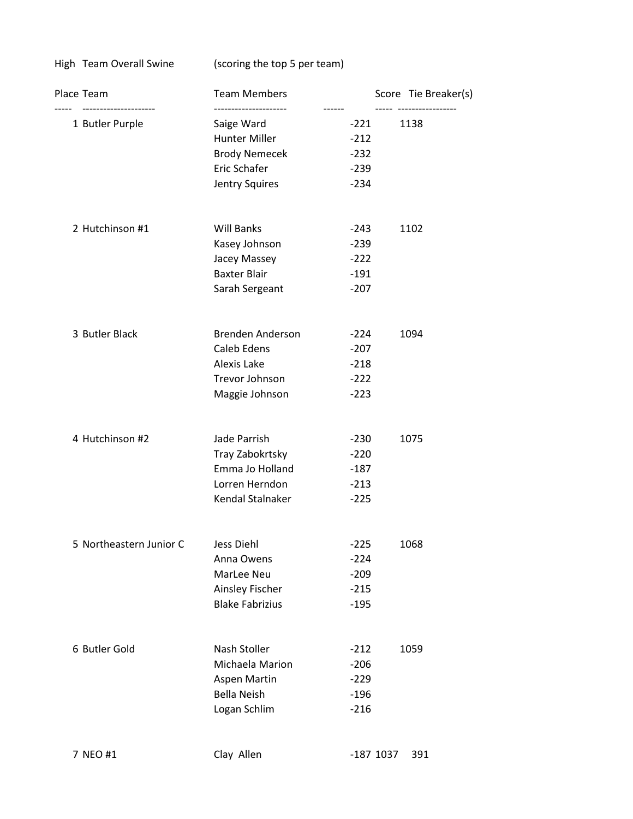High Team Overall Swine (scoring the top 5 per team)

| Place Team                            | <b>Team Members</b><br>-------------------- |                  | Score Tie Breaker(s)       |  |
|---------------------------------------|---------------------------------------------|------------------|----------------------------|--|
| ------------------<br>1 Butler Purple | Saige Ward                                  | ------<br>$-221$ | ------------------<br>1138 |  |
|                                       | <b>Hunter Miller</b>                        | $-212$           |                            |  |
|                                       | <b>Brody Nemecek</b>                        | $-232$           |                            |  |
|                                       | Eric Schafer                                | $-239$           |                            |  |
|                                       | Jentry Squires                              | $-234$           |                            |  |
| 2 Hutchinson #1                       | <b>Will Banks</b>                           | -243             | 1102                       |  |
|                                       | Kasey Johnson                               | $-239$           |                            |  |
|                                       | Jacey Massey                                | $-222$           |                            |  |
|                                       | <b>Baxter Blair</b>                         | $-191$           |                            |  |
|                                       | Sarah Sergeant                              | $-207$           |                            |  |
| 3 Butler Black                        | Brenden Anderson                            | $-224$           | 1094                       |  |
|                                       | Caleb Edens                                 | $-207$           |                            |  |
|                                       | Alexis Lake                                 | $-218$           |                            |  |
|                                       | Trevor Johnson                              | $-222$           |                            |  |
|                                       | Maggie Johnson                              | $-223$           |                            |  |
| 4 Hutchinson #2                       | Jade Parrish                                | $-230$           | 1075                       |  |
|                                       | Tray Zabokrtsky                             | $-220$           |                            |  |
|                                       | Emma Jo Holland                             | $-187$           |                            |  |
|                                       | Lorren Herndon                              | $-213$           |                            |  |
|                                       | Kendal Stalnaker                            | $-225$           |                            |  |
| 5 Northeastern Junior C               | Jess Diehl                                  | $-225$           | 1068                       |  |
|                                       | Anna Owens                                  | $-224$           |                            |  |
|                                       | MarLee Neu                                  | $-209$           |                            |  |
|                                       | Ainsley Fischer                             | $-215$           |                            |  |
|                                       | <b>Blake Fabrizius</b>                      | $-195$           |                            |  |
| 6 Butler Gold                         | Nash Stoller                                | $-212$           | 1059                       |  |
|                                       | Michaela Marion                             | $-206$           |                            |  |
|                                       | Aspen Martin                                | $-229$           |                            |  |
|                                       | <b>Bella Neish</b>                          | $-196$           |                            |  |
|                                       | Logan Schlim                                | $-216$           |                            |  |
| 7 NEO #1                              | Clay Allen                                  | $-187$ 1037      | 391                        |  |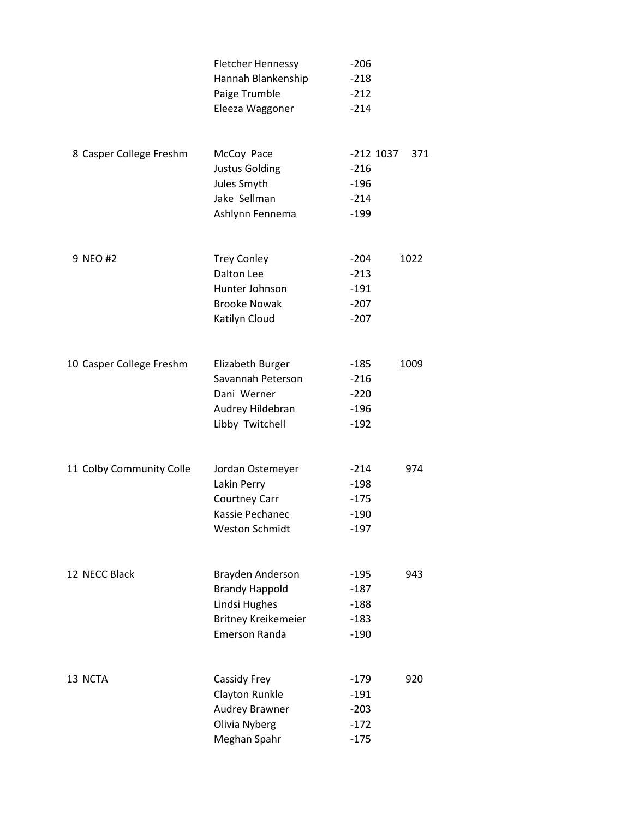|                          | <b>Fletcher Hennessy</b>   | $-206$      |      |
|--------------------------|----------------------------|-------------|------|
|                          | Hannah Blankenship         | $-218$      |      |
|                          | Paige Trumble              | $-212$      |      |
|                          | Eleeza Waggoner            | $-214$      |      |
| 8 Casper College Freshm  | McCoy Pace                 | $-212$ 1037 | 371  |
|                          | <b>Justus Golding</b>      | $-216$      |      |
|                          | Jules Smyth                | $-196$      |      |
|                          | Jake Sellman               | $-214$      |      |
|                          | Ashlynn Fennema            | $-199$      |      |
| 9 NEO #2                 | <b>Trey Conley</b>         | $-204$      | 1022 |
|                          | Dalton Lee                 | $-213$      |      |
|                          | Hunter Johnson             | $-191$      |      |
|                          | <b>Brooke Nowak</b>        | $-207$      |      |
|                          | Katilyn Cloud              | $-207$      |      |
| 10 Casper College Freshm | Elizabeth Burger           | $-185$      | 1009 |
|                          | Savannah Peterson          | $-216$      |      |
|                          | Dani Werner                | $-220$      |      |
|                          | Audrey Hildebran           | $-196$      |      |
|                          | Libby Twitchell            | $-192$      |      |
| 11 Colby Community Colle | Jordan Ostemeyer           | $-214$      | 974  |
|                          | Lakin Perry                | $-198$      |      |
|                          | <b>Courtney Carr</b>       | $-175$      |      |
|                          | Kassie Pechanec            | $-190$      |      |
|                          | <b>Weston Schmidt</b>      | $-197$      |      |
| 12 NECC Black            | Brayden Anderson           | $-195$      | 943  |
|                          | <b>Brandy Happold</b>      | $-187$      |      |
|                          | Lindsi Hughes              | $-188$      |      |
|                          | <b>Britney Kreikemeier</b> | $-183$      |      |
|                          | <b>Emerson Randa</b>       | $-190$      |      |
| 13 NCTA                  | Cassidy Frey               | $-179$      | 920  |
|                          | Clayton Runkle             | $-191$      |      |
|                          | Audrey Brawner             | $-203$      |      |
|                          | Olivia Nyberg              | $-172$      |      |
|                          | Meghan Spahr               | $-175$      |      |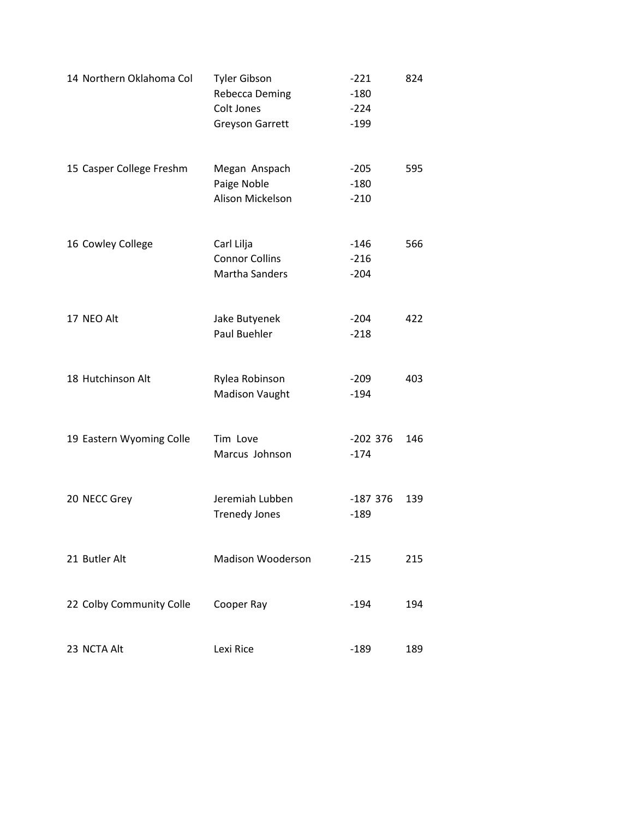| 14 Northern Oklahoma Col | <b>Tyler Gibson</b><br>Rebecca Deming<br>Colt Jones<br><b>Greyson Garrett</b> | $-221$<br>$-180$<br>$-224$<br>$-199$ | 824 |
|--------------------------|-------------------------------------------------------------------------------|--------------------------------------|-----|
| 15 Casper College Freshm | Megan Anspach<br>Paige Noble<br>Alison Mickelson                              | $-205$<br>$-180$<br>$-210$           | 595 |
| 16 Cowley College        | Carl Lilja<br><b>Connor Collins</b><br><b>Martha Sanders</b>                  | -146<br>$-216$<br>$-204$             | 566 |
| 17 NEO Alt               | Jake Butyenek<br>Paul Buehler                                                 | $-204$<br>$-218$                     | 422 |
| 18 Hutchinson Alt        | Rylea Robinson<br>Madison Vaught                                              | $-209$<br>$-194$                     | 403 |
| 19 Eastern Wyoming Colle | Tim Love<br>Marcus Johnson                                                    | $-202$ 376<br>$-174$                 | 146 |
| 20 NECC Grey             | Jeremiah Lubben<br><b>Trenedy Jones</b>                                       | $-187376$<br>$-189$                  | 139 |
| 21 Butler Alt            | <b>Madison Wooderson</b>                                                      | $-215$                               | 215 |
| 22 Colby Community Colle | Cooper Ray                                                                    | $-194$                               | 194 |
| 23 NCTA Alt              | Lexi Rice                                                                     | $-189$                               | 189 |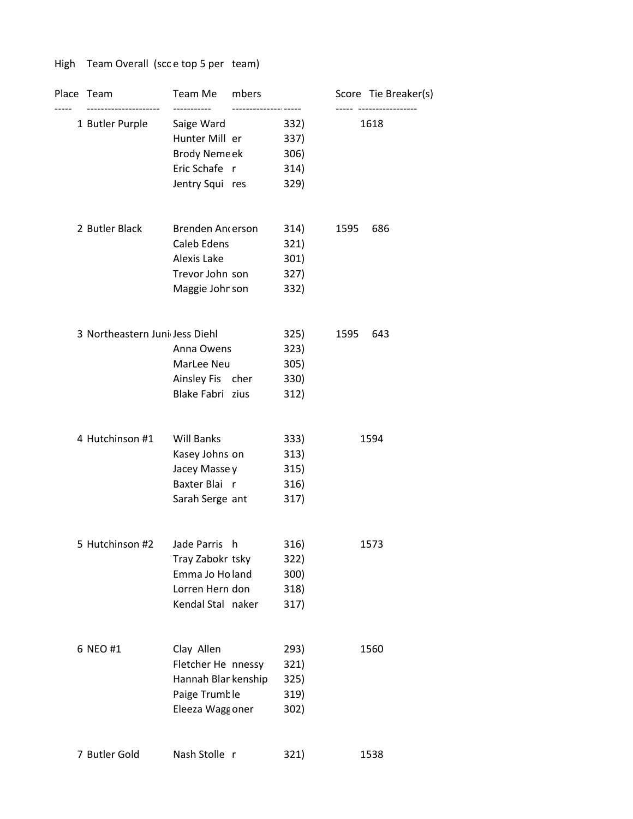## High Team Overall (scc e top 5 per team)

| Place Team<br>--------------------- | Team Me mbers<br>----------- |      |      | Score Tie Breaker(s)<br>----- ----------------- |
|-------------------------------------|------------------------------|------|------|-------------------------------------------------|
| 1 Butler Purple                     | Saige Ward                   | 332) |      | 1618                                            |
|                                     | Hunter Mill er               | 337) |      |                                                 |
|                                     | Brody Neme ek                | 306) |      |                                                 |
|                                     | Eric Schafe r                | 314) |      |                                                 |
|                                     | Jentry Squi res              | 329) |      |                                                 |
| 2 Butler Black                      | Brenden Ancerson             | 314) | 1595 | 686                                             |
|                                     | Caleb Edens                  | 321) |      |                                                 |
|                                     | Alexis Lake                  | 301) |      |                                                 |
|                                     | Trevor John son              | 327) |      |                                                 |
|                                     | Maggie Johnson               | 332) |      |                                                 |
| 3 Northeastern Juni Jess Diehl      |                              | 325) | 1595 | 643                                             |
|                                     | Anna Owens                   | 323) |      |                                                 |
|                                     | MarLee Neu                   | 305) |      |                                                 |
|                                     | Ainsley Fis cher             | 330) |      |                                                 |
|                                     | Blake Fabri zius             | 312) |      |                                                 |
| 4 Hutchinson #1                     | <b>Will Banks</b>            | 333) |      | 1594                                            |
|                                     | Kasey Johns on               | 313) |      |                                                 |
|                                     | Jacey Masse y                | 315) |      |                                                 |
|                                     | Baxter Blair                 | 316) |      |                                                 |
|                                     | Sarah Serge ant              | 317) |      |                                                 |
| 5 Hutchinson #2                     | Jade Parris h                | 316) |      | 1573                                            |
|                                     | Tray Zabokr tsky             | 322) |      |                                                 |
|                                     | Emma Jo Holand               | 300) |      |                                                 |
|                                     | Lorren Hern don              | 318) |      |                                                 |
|                                     | Kendal Stal naker            | 317) |      |                                                 |
| 6 NEO #1                            | Clay Allen                   | 293) |      | 1560                                            |
|                                     | Fletcher He nnessy           | 321) |      |                                                 |
|                                     | Hannah Blar kenship          | 325) |      |                                                 |
|                                     | Paige Trumble                | 319) |      |                                                 |
|                                     | Eleeza Wagg oner             | 302) |      |                                                 |
| 7 Butler Gold                       | Nash Stolle r                | 321) |      | 1538                                            |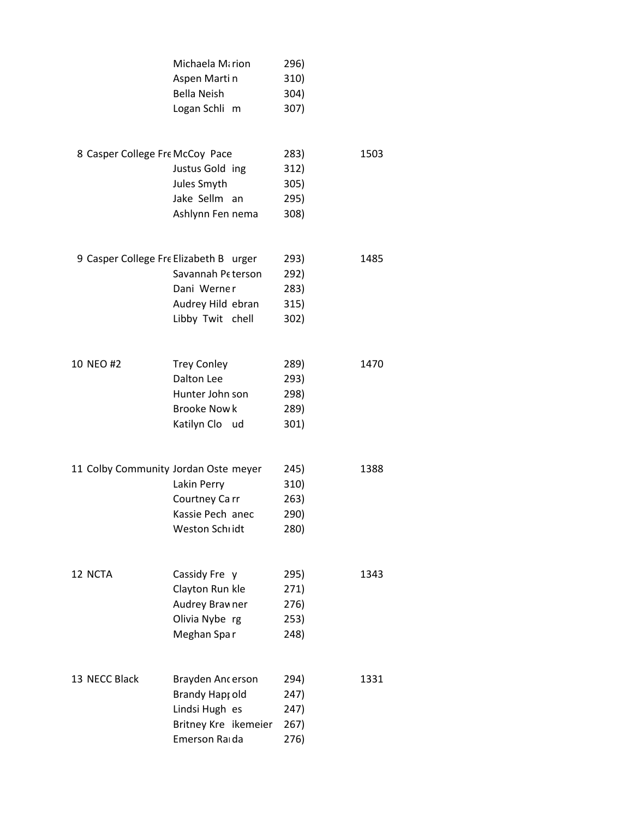|                                        | Michaela Mirion<br>Aspen Martin<br><b>Bella Neish</b><br>Logan Schli m                            | 296)<br>310)<br>304)<br>307)         |      |
|----------------------------------------|---------------------------------------------------------------------------------------------------|--------------------------------------|------|
| 8 Casper College Fre McCoy Pace        | Justus Gold ing<br>Jules Smyth<br>Jake Sellm an<br>Ashlynn Fen nema                               | 283)<br>312)<br>305)<br>295)<br>308) | 1503 |
| 9 Casper College Fre Elizabeth B urger | Savannah Peterson<br>Dani Werner<br>Audrey Hild ebran<br>Libby Twit chell                         | 293)<br>292)<br>283)<br>315)<br>302) | 1485 |
| 10 NEO #2                              | <b>Trey Conley</b><br><b>Dalton Lee</b><br>Hunter John son<br><b>Brooke Nowk</b><br>Katilyn Cloud | 289)<br>293)<br>298)<br>289)<br>301) | 1470 |
| 11 Colby Community Jordan Oste meyer   | Lakin Perry<br>Courtney Carr<br>Kassie Pech anec<br>Weston Schridt                                | 245)<br>310)<br>263)<br>290)<br>280) | 1388 |
| 12 NCTA                                | Cassidy Fre y<br>Clayton Run kle<br>Audrey Brawner<br>Olivia Nybe rg<br>Meghan Spar               | 295)<br>271)<br>276)<br>253)<br>248) | 1343 |
| 13 NECC Black                          | Brayden Ancerson<br>Brandy Hapt old<br>Lindsi Hugh es<br>Britney Kre ikemeier<br>Emerson Raida    | 294)<br>247)<br>247)<br>267)<br>276) | 1331 |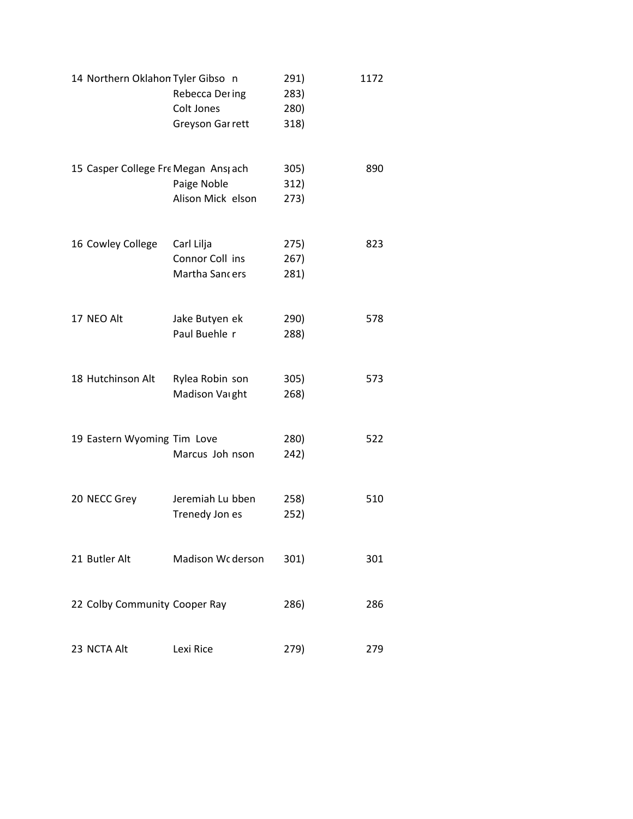| 14 Northern Oklahon Tyler Gibso n   | Rebecca Dering<br>Colt Jones<br>Greyson Gar rett | 291)<br>283)<br>280)<br>318) | 1172 |
|-------------------------------------|--------------------------------------------------|------------------------------|------|
| 15 Casper College Fre Megan Ans ach | Paige Noble<br>Alison Mick elson                 | 305)<br>312)<br>273)         | 890  |
| 16 Cowley College                   | Carl Lilja<br>Connor Coll ins<br>Martha Sancers  | 275)<br>267)<br>281)         | 823  |
| 17 NEO Alt                          | Jake Butyen ek<br>Paul Buehle r                  | 290)<br>288)                 | 578  |
| 18 Hutchinson Alt                   | Rylea Robin son<br>Madison Varght                | 305)<br>268)                 | 573  |
| 19 Eastern Wyoming Tim Love         | Marcus Joh nson                                  | 280)<br>242)                 | 522  |
| 20 NECC Grey                        | Jeremiah Lu bben<br>Trenedy Jon es               | 258)<br>252)                 | 510  |
| 21 Butler Alt                       | Madison Wc derson                                | 301)                         | 301  |
| 22 Colby Community Cooper Ray       |                                                  | 286)                         | 286  |
| 23 NCTA Alt                         | Lexi Rice                                        | 279)                         | 279  |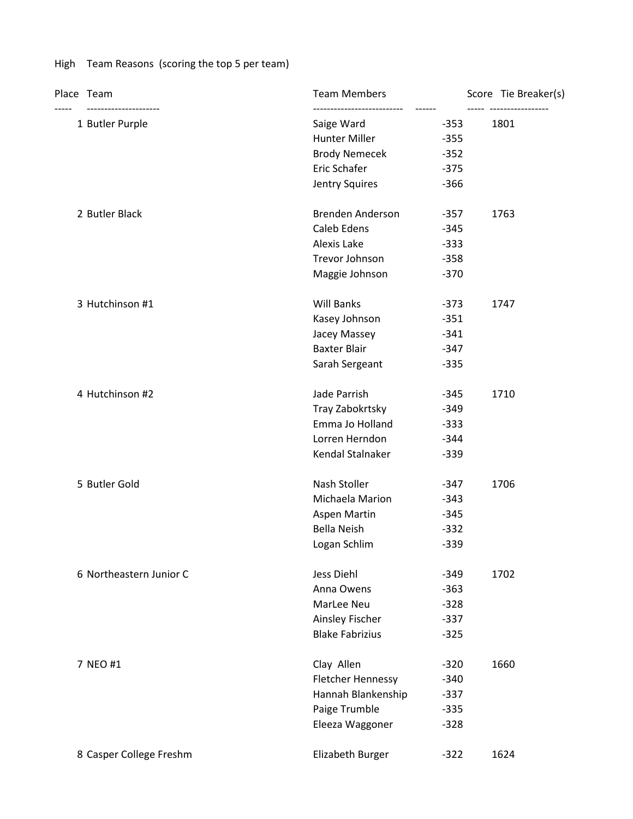## High Team Reasons (scoring the top 5 per team)

|  | Place Team                               | <b>Team Members</b>              | Score Tie Breaker(s)            |
|--|------------------------------------------|----------------------------------|---------------------------------|
|  | ---------------------<br>1 Butler Purple | Saige Ward<br>$-353$             | ----- -----------------<br>1801 |
|  |                                          | Hunter Miller<br>$-355$          |                                 |
|  |                                          | Brody Nemecek<br>$-352$          |                                 |
|  |                                          | Eric Schafer<br>$-375$           |                                 |
|  |                                          | Jentry Squires<br>$-366$         |                                 |
|  | 2 Butler Black                           | Brenden Anderson<br>$-357$       | 1763                            |
|  |                                          | Caleb Edens<br>$-345$            |                                 |
|  |                                          | Alexis Lake<br>$-333$            |                                 |
|  |                                          | Trevor Johnson<br>$-358$         |                                 |
|  |                                          | Maggie Johnson<br>$-370$         |                                 |
|  | 3 Hutchinson #1                          | <b>Will Banks</b><br>$-373$      | 1747                            |
|  |                                          | Kasey Johnson<br>$-351$          |                                 |
|  |                                          | Jacey Massey<br>$-341$           |                                 |
|  |                                          | <b>Baxter Blair</b><br>$-347$    |                                 |
|  |                                          | Sarah Sergeant<br>$-335$         |                                 |
|  | 4 Hutchinson #2                          | Jade Parrish<br>$-345$           | 1710                            |
|  |                                          | Tray Zabokrtsky<br>$-349$        |                                 |
|  |                                          | Emma Jo Holland<br>$-333$        |                                 |
|  |                                          | Lorren Herndon<br>$-344$         |                                 |
|  |                                          | Kendal Stalnaker<br>$-339$       |                                 |
|  | 5 Butler Gold                            | Nash Stoller<br>$-347$           | 1706                            |
|  |                                          | Michaela Marion<br>$-343$        |                                 |
|  |                                          | Aspen Martin<br>$-345$           |                                 |
|  |                                          | Bella Neish<br>$-332$            |                                 |
|  |                                          | Logan Schlim<br>$-339$           |                                 |
|  | 6 Northeastern Junior C                  | Jess Diehl<br>$-349$             | 1702                            |
|  |                                          | Anna Owens<br>$-363$             |                                 |
|  |                                          | MarLee Neu<br>$-328$             |                                 |
|  |                                          | Ainsley Fischer<br>$-337$        |                                 |
|  |                                          | <b>Blake Fabrizius</b><br>$-325$ |                                 |
|  | 7 NEO #1                                 | Clay Allen<br>$-320$             | 1660                            |
|  |                                          | Fletcher Hennessy<br>$-340$      |                                 |
|  |                                          | Hannah Blankenship<br>$-337$     |                                 |
|  |                                          | Paige Trumble<br>$-335$          |                                 |
|  |                                          | Eleeza Waggoner<br>$-328$        |                                 |
|  | 8 Casper College Freshm                  | Elizabeth Burger<br>$-322$       | 1624                            |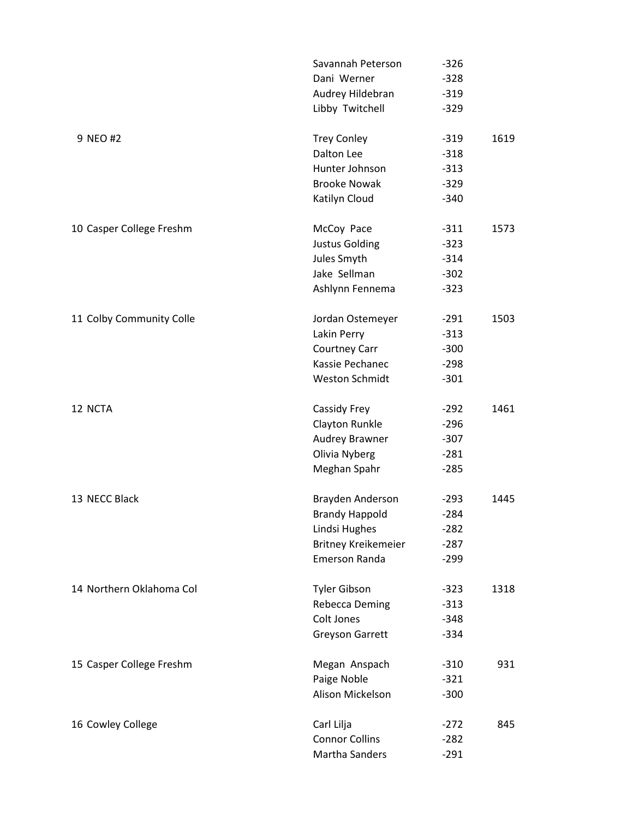|                          | Savannah Peterson          | $-326$ |      |
|--------------------------|----------------------------|--------|------|
|                          | Dani Werner                | $-328$ |      |
|                          | Audrey Hildebran           | $-319$ |      |
|                          | Libby Twitchell            | $-329$ |      |
| 9 NEO #2                 | <b>Trey Conley</b>         | $-319$ | 1619 |
|                          | Dalton Lee                 | $-318$ |      |
|                          | Hunter Johnson             | $-313$ |      |
|                          | <b>Brooke Nowak</b>        | $-329$ |      |
|                          | Katilyn Cloud              | $-340$ |      |
| 10 Casper College Freshm | McCoy Pace                 | $-311$ | 1573 |
|                          | <b>Justus Golding</b>      | $-323$ |      |
|                          | Jules Smyth                | $-314$ |      |
|                          | Jake Sellman               | $-302$ |      |
|                          | Ashlynn Fennema            | $-323$ |      |
| 11 Colby Community Colle | Jordan Ostemeyer           | $-291$ | 1503 |
|                          | Lakin Perry                | $-313$ |      |
|                          | Courtney Carr              | $-300$ |      |
|                          | Kassie Pechanec            | $-298$ |      |
|                          | Weston Schmidt             | $-301$ |      |
| 12 NCTA                  | Cassidy Frey               | $-292$ | 1461 |
|                          | Clayton Runkle             | $-296$ |      |
|                          | Audrey Brawner             | $-307$ |      |
|                          | Olivia Nyberg              | $-281$ |      |
|                          | Meghan Spahr               | $-285$ |      |
| 13 NECC Black            | Brayden Anderson           | $-293$ | 1445 |
|                          | <b>Brandy Happold</b>      | $-284$ |      |
|                          | Lindsi Hughes              | $-282$ |      |
|                          | <b>Britney Kreikemeier</b> | $-287$ |      |
|                          | Emerson Randa              | $-299$ |      |
| 14 Northern Oklahoma Col | <b>Tyler Gibson</b>        | $-323$ | 1318 |
|                          | Rebecca Deming             | $-313$ |      |
|                          | Colt Jones                 | $-348$ |      |
|                          | <b>Greyson Garrett</b>     | $-334$ |      |
| 15 Casper College Freshm | Megan Anspach              | $-310$ | 931  |
|                          | Paige Noble                | $-321$ |      |
|                          | Alison Mickelson           | $-300$ |      |
| 16 Cowley College        | Carl Lilja                 | $-272$ | 845  |
|                          | <b>Connor Collins</b>      | $-282$ |      |
|                          | Martha Sanders             | $-291$ |      |